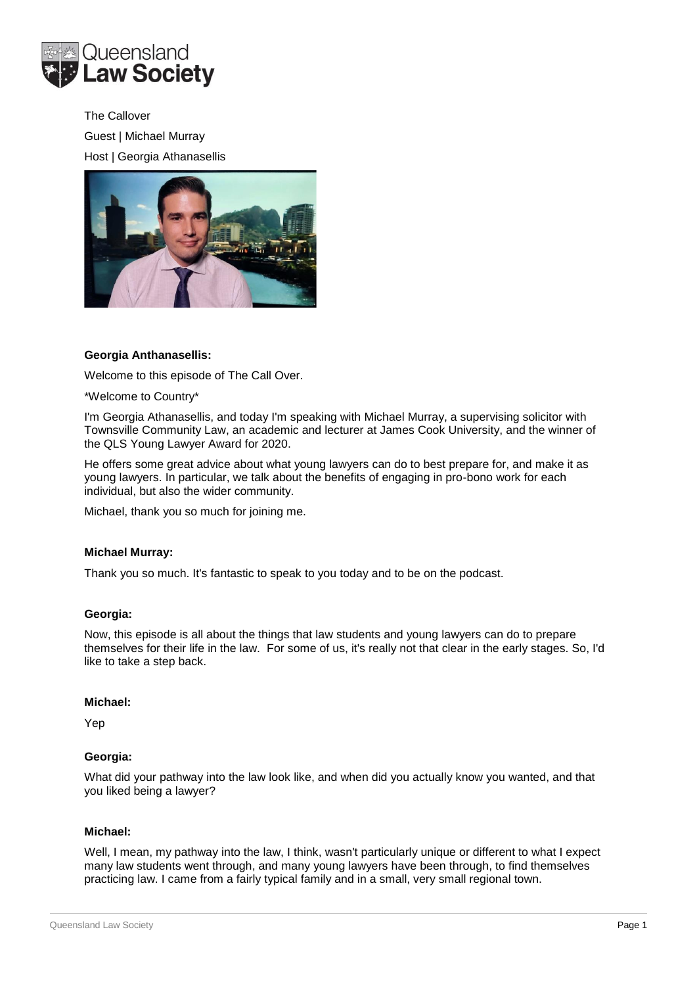

The Callover Guest | Michael Murray Host | Georgia Athanasellis



# **Georgia Anthanasellis:**

Welcome to this episode of The Call Over.

\*Welcome to Country\*

I'm Georgia Athanasellis, and today I'm speaking with Michael Murray, a supervising solicitor with Townsville Community Law, an academic and lecturer at James Cook University, and the winner of the QLS Young Lawyer Award for 2020.

He offers some great advice about what young lawyers can do to best prepare for, and make it as young lawyers. In particular, we talk about the benefits of engaging in pro-bono work for each individual, but also the wider community.

Michael, thank you so much for joining me.

#### **Michael Murray:**

Thank you so much. It's fantastic to speak to you today and to be on the podcast.

#### **Georgia:**

Now, this episode is all about the things that law students and young lawyers can do to prepare themselves for their life in the law. For some of us, it's really not that clear in the early stages. So, I'd like to take a step back.

#### **Michael:**

Yep

### **Georgia:**

What did your pathway into the law look like, and when did you actually know you wanted, and that you liked being a lawyer?

#### **Michael:**

Well, I mean, my pathway into the law, I think, wasn't particularly unique or different to what I expect many law students went through, and many young lawyers have been through, to find themselves practicing law. I came from a fairly typical family and in a small, very small regional town.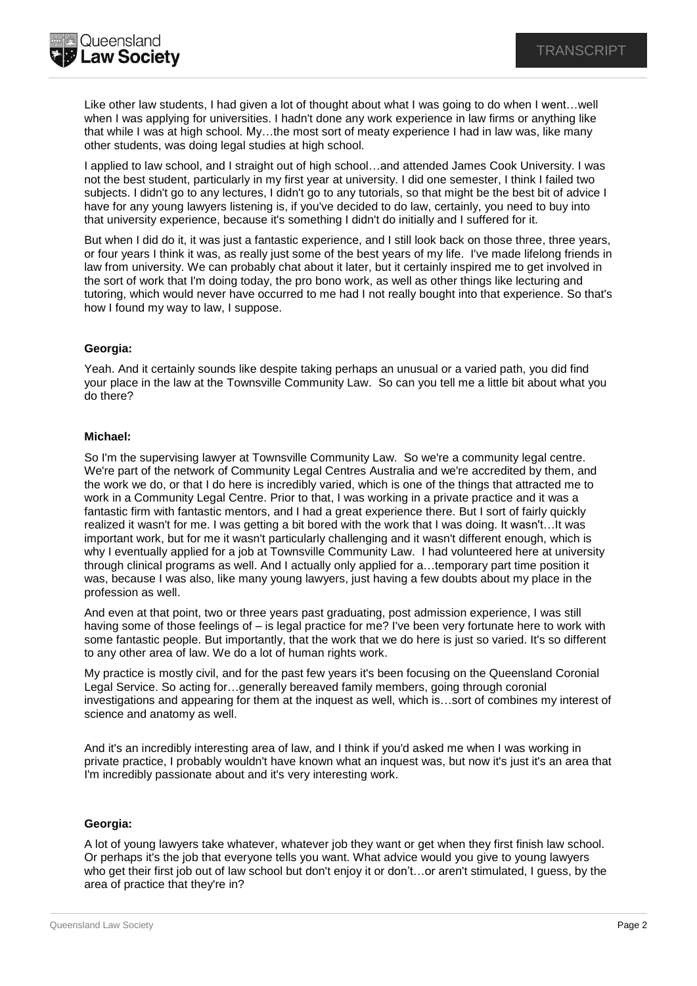

Like other law students, I had given a lot of thought about what I was going to do when I went…well when I was applying for universities. I hadn't done any work experience in law firms or anything like that while I was at high school. My…the most sort of meaty experience I had in law was, like many other students, was doing legal studies at high school.

I applied to law school, and I straight out of high school…and attended James Cook University. I was not the best student, particularly in my first year at university. I did one semester, I think I failed two subjects. I didn't go to any lectures, I didn't go to any tutorials, so that might be the best bit of advice I have for any young lawyers listening is, if you've decided to do law, certainly, you need to buy into that university experience, because it's something I didn't do initially and I suffered for it.

But when I did do it, it was just a fantastic experience, and I still look back on those three, three years, or four years I think it was, as really just some of the best years of my life. I've made lifelong friends in law from university. We can probably chat about it later, but it certainly inspired me to get involved in the sort of work that I'm doing today, the pro bono work, as well as other things like lecturing and tutoring, which would never have occurred to me had I not really bought into that experience. So that's how I found my way to law, I suppose.

## **Georgia:**

Yeah. And it certainly sounds like despite taking perhaps an unusual or a varied path, you did find your place in the law at the Townsville Community Law. So can you tell me a little bit about what you do there?

## **Michael:**

So I'm the supervising lawyer at Townsville Community Law. So we're a community legal centre. We're part of the network of Community Legal Centres Australia and we're accredited by them, and the work we do, or that I do here is incredibly varied, which is one of the things that attracted me to work in a Community Legal Centre. Prior to that, I was working in a private practice and it was a fantastic firm with fantastic mentors, and I had a great experience there. But I sort of fairly quickly realized it wasn't for me. I was getting a bit bored with the work that I was doing. It wasn't…It was important work, but for me it wasn't particularly challenging and it wasn't different enough, which is why I eventually applied for a job at Townsville Community Law. I had volunteered here at university through clinical programs as well. And I actually only applied for a…temporary part time position it was, because I was also, like many young lawyers, just having a few doubts about my place in the profession as well.

And even at that point, two or three years past graduating, post admission experience, I was still having some of those feelings of – is legal practice for me? I've been very fortunate here to work with some fantastic people. But importantly, that the work that we do here is just so varied. It's so different to any other area of law. We do a lot of human rights work.

My practice is mostly civil, and for the past few years it's been focusing on the Queensland Coronial Legal Service. So acting for…generally bereaved family members, going through coronial investigations and appearing for them at the inquest as well, which is…sort of combines my interest of science and anatomy as well.

And it's an incredibly interesting area of law, and I think if you'd asked me when I was working in private practice, I probably wouldn't have known what an inquest was, but now it's just it's an area that I'm incredibly passionate about and it's very interesting work.

# **Georgia:**

A lot of young lawyers take whatever, whatever job they want or get when they first finish law school. Or perhaps it's the job that everyone tells you want. What advice would you give to young lawyers who get their first job out of law school but don't enjoy it or don't…or aren't stimulated, I guess, by the area of practice that they're in?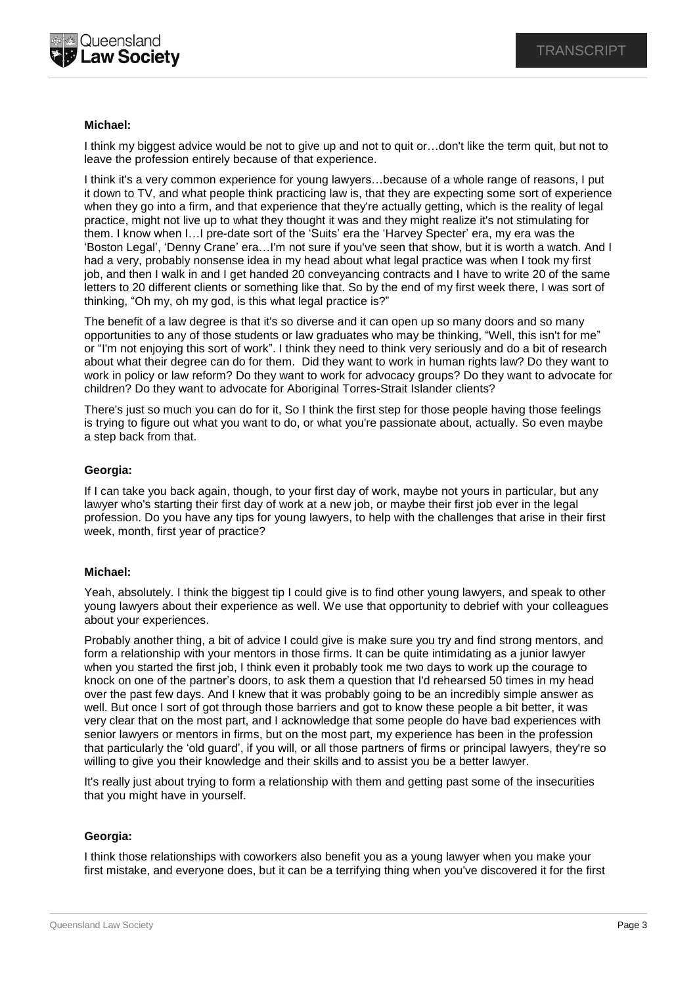

### **Michael:**

I think my biggest advice would be not to give up and not to quit or…don't like the term quit, but not to leave the profession entirely because of that experience.

I think it's a very common experience for young lawyers…because of a whole range of reasons, I put it down to TV, and what people think practicing law is, that they are expecting some sort of experience when they go into a firm, and that experience that they're actually getting, which is the reality of legal practice, might not live up to what they thought it was and they might realize it's not stimulating for them. I know when I…I pre-date sort of the 'Suits' era the 'Harvey Specter' era, my era was the 'Boston Legal', 'Denny Crane' era…I'm not sure if you've seen that show, but it is worth a watch. And I had a very, probably nonsense idea in my head about what legal practice was when I took my first job, and then I walk in and I get handed 20 conveyancing contracts and I have to write 20 of the same letters to 20 different clients or something like that. So by the end of my first week there, I was sort of thinking, "Oh my, oh my god, is this what legal practice is?"

The benefit of a law degree is that it's so diverse and it can open up so many doors and so many opportunities to any of those students or law graduates who may be thinking, "Well, this isn't for me" or "I'm not enjoying this sort of work". I think they need to think very seriously and do a bit of research about what their degree can do for them. Did they want to work in human rights law? Do they want to work in policy or law reform? Do they want to work for advocacy groups? Do they want to advocate for children? Do they want to advocate for Aboriginal Torres-Strait Islander clients?

There's just so much you can do for it, So I think the first step for those people having those feelings is trying to figure out what you want to do, or what you're passionate about, actually. So even maybe a step back from that.

### **Georgia:**

If I can take you back again, though, to your first day of work, maybe not yours in particular, but any lawyer who's starting their first day of work at a new job, or maybe their first job ever in the legal profession. Do you have any tips for young lawyers, to help with the challenges that arise in their first week, month, first year of practice?

### **Michael:**

Yeah, absolutely. I think the biggest tip I could give is to find other young lawyers, and speak to other young lawyers about their experience as well. We use that opportunity to debrief with your colleagues about your experiences.

Probably another thing, a bit of advice I could give is make sure you try and find strong mentors, and form a relationship with your mentors in those firms. It can be quite intimidating as a junior lawyer when you started the first job, I think even it probably took me two days to work up the courage to knock on one of the partner's doors, to ask them a question that I'd rehearsed 50 times in my head over the past few days. And I knew that it was probably going to be an incredibly simple answer as well. But once I sort of got through those barriers and got to know these people a bit better, it was very clear that on the most part, and I acknowledge that some people do have bad experiences with senior lawyers or mentors in firms, but on the most part, my experience has been in the profession that particularly the 'old guard', if you will, or all those partners of firms or principal lawyers, they're so willing to give you their knowledge and their skills and to assist you be a better lawyer.

It's really just about trying to form a relationship with them and getting past some of the insecurities that you might have in yourself.

### **Georgia:**

I think those relationships with coworkers also benefit you as a young lawyer when you make your first mistake, and everyone does, but it can be a terrifying thing when you've discovered it for the first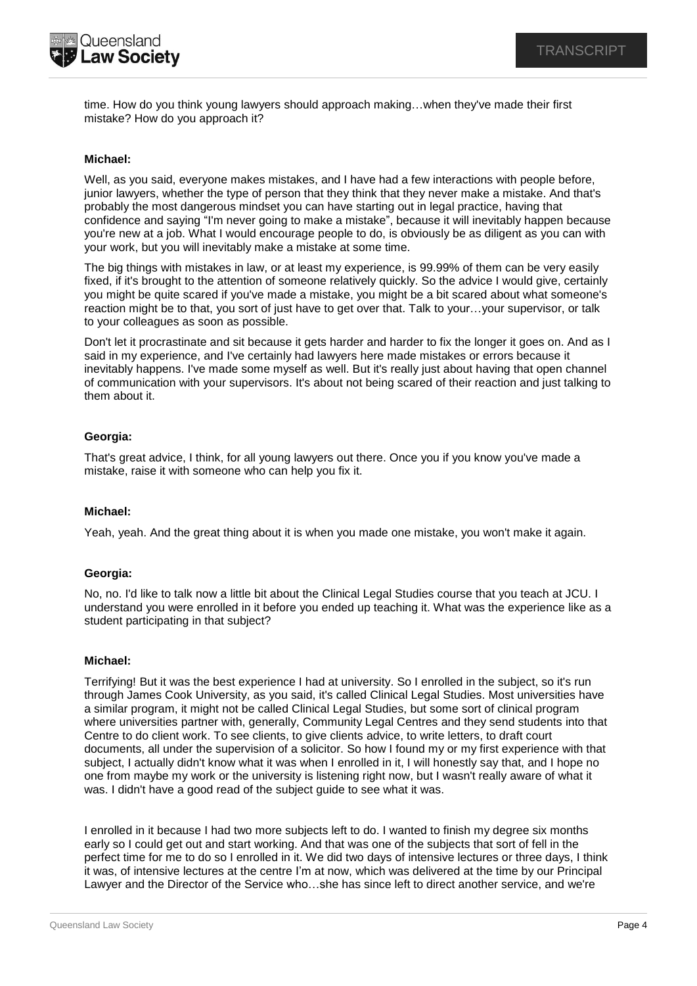

time. How do you think young lawyers should approach making…when they've made their first mistake? How do you approach it?

### **Michael:**

Well, as you said, everyone makes mistakes, and I have had a few interactions with people before, junior lawyers, whether the type of person that they think that they never make a mistake. And that's probably the most dangerous mindset you can have starting out in legal practice, having that confidence and saying "I'm never going to make a mistake", because it will inevitably happen because you're new at a job. What I would encourage people to do, is obviously be as diligent as you can with your work, but you will inevitably make a mistake at some time.

The big things with mistakes in law, or at least my experience, is 99.99% of them can be very easily fixed, if it's brought to the attention of someone relatively quickly. So the advice I would give, certainly you might be quite scared if you've made a mistake, you might be a bit scared about what someone's reaction might be to that, you sort of just have to get over that. Talk to your…your supervisor, or talk to your colleagues as soon as possible.

Don't let it procrastinate and sit because it gets harder and harder to fix the longer it goes on. And as I said in my experience, and I've certainly had lawyers here made mistakes or errors because it inevitably happens. I've made some myself as well. But it's really just about having that open channel of communication with your supervisors. It's about not being scared of their reaction and just talking to them about it.

## **Georgia:**

That's great advice, I think, for all young lawyers out there. Once you if you know you've made a mistake, raise it with someone who can help you fix it.

### **Michael:**

Yeah, yeah. And the great thing about it is when you made one mistake, you won't make it again.

### **Georgia:**

No, no. I'd like to talk now a little bit about the Clinical Legal Studies course that you teach at JCU. I understand you were enrolled in it before you ended up teaching it. What was the experience like as a student participating in that subject?

### **Michael:**

Terrifying! But it was the best experience I had at university. So I enrolled in the subject, so it's run through James Cook University, as you said, it's called Clinical Legal Studies. Most universities have a similar program, it might not be called Clinical Legal Studies, but some sort of clinical program where universities partner with, generally, Community Legal Centres and they send students into that Centre to do client work. To see clients, to give clients advice, to write letters, to draft court documents, all under the supervision of a solicitor. So how I found my or my first experience with that subject, I actually didn't know what it was when I enrolled in it, I will honestly say that, and I hope no one from maybe my work or the university is listening right now, but I wasn't really aware of what it was. I didn't have a good read of the subject guide to see what it was.

I enrolled in it because I had two more subjects left to do. I wanted to finish my degree six months early so I could get out and start working. And that was one of the subjects that sort of fell in the perfect time for me to do so I enrolled in it. We did two days of intensive lectures or three days, I think it was, of intensive lectures at the centre I'm at now, which was delivered at the time by our Principal Lawyer and the Director of the Service who…she has since left to direct another service, and we're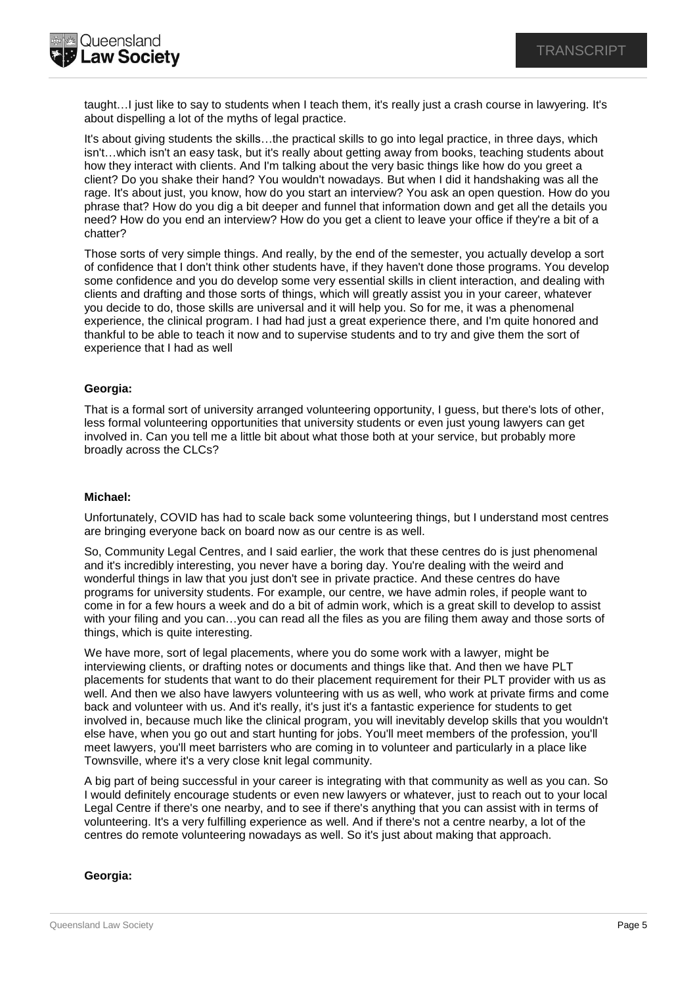**Queensland Law Society** 

> taught…I just like to say to students when I teach them, it's really just a crash course in lawyering. It's about dispelling a lot of the myths of legal practice.

> It's about giving students the skills…the practical skills to go into legal practice, in three days, which isn't…which isn't an easy task, but it's really about getting away from books, teaching students about how they interact with clients. And I'm talking about the very basic things like how do you greet a client? Do you shake their hand? You wouldn't nowadays. But when I did it handshaking was all the rage. It's about just, you know, how do you start an interview? You ask an open question. How do you phrase that? How do you dig a bit deeper and funnel that information down and get all the details you need? How do you end an interview? How do you get a client to leave your office if they're a bit of a chatter?

> Those sorts of very simple things. And really, by the end of the semester, you actually develop a sort of confidence that I don't think other students have, if they haven't done those programs. You develop some confidence and you do develop some very essential skills in client interaction, and dealing with clients and drafting and those sorts of things, which will greatly assist you in your career, whatever you decide to do, those skills are universal and it will help you. So for me, it was a phenomenal experience, the clinical program. I had had just a great experience there, and I'm quite honored and thankful to be able to teach it now and to supervise students and to try and give them the sort of experience that I had as well

## **Georgia:**

That is a formal sort of university arranged volunteering opportunity, I guess, but there's lots of other, less formal volunteering opportunities that university students or even just young lawyers can get involved in. Can you tell me a little bit about what those both at your service, but probably more broadly across the CLCs?

## **Michael:**

Unfortunately, COVID has had to scale back some volunteering things, but I understand most centres are bringing everyone back on board now as our centre is as well.

So, Community Legal Centres, and I said earlier, the work that these centres do is just phenomenal and it's incredibly interesting, you never have a boring day. You're dealing with the weird and wonderful things in law that you just don't see in private practice. And these centres do have programs for university students. For example, our centre, we have admin roles, if people want to come in for a few hours a week and do a bit of admin work, which is a great skill to develop to assist with your filing and you can…you can read all the files as you are filing them away and those sorts of things, which is quite interesting.

We have more, sort of legal placements, where you do some work with a lawyer, might be interviewing clients, or drafting notes or documents and things like that. And then we have PLT placements for students that want to do their placement requirement for their PLT provider with us as well. And then we also have lawyers volunteering with us as well, who work at private firms and come back and volunteer with us. And it's really, it's just it's a fantastic experience for students to get involved in, because much like the clinical program, you will inevitably develop skills that you wouldn't else have, when you go out and start hunting for jobs. You'll meet members of the profession, you'll meet lawyers, you'll meet barristers who are coming in to volunteer and particularly in a place like Townsville, where it's a very close knit legal community.

A big part of being successful in your career is integrating with that community as well as you can. So I would definitely encourage students or even new lawyers or whatever, just to reach out to your local Legal Centre if there's one nearby, and to see if there's anything that you can assist with in terms of volunteering. It's a very fulfilling experience as well. And if there's not a centre nearby, a lot of the centres do remote volunteering nowadays as well. So it's just about making that approach.

### **Georgia:**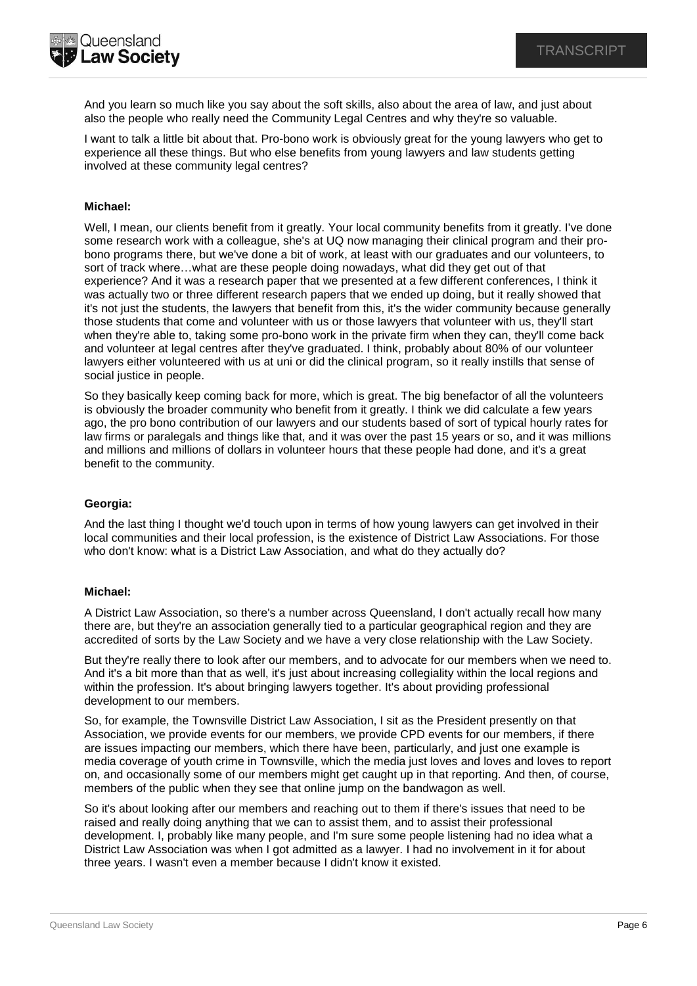And you learn so much like you say about the soft skills, also about the area of law, and just about also the people who really need the Community Legal Centres and why they're so valuable.

I want to talk a little bit about that. Pro-bono work is obviously great for the young lawyers who get to experience all these things. But who else benefits from young lawyers and law students getting involved at these community legal centres?

## **Michael:**

Well, I mean, our clients benefit from it greatly. Your local community benefits from it greatly. I've done some research work with a colleague, she's at UQ now managing their clinical program and their probono programs there, but we've done a bit of work, at least with our graduates and our volunteers, to sort of track where…what are these people doing nowadays, what did they get out of that experience? And it was a research paper that we presented at a few different conferences, I think it was actually two or three different research papers that we ended up doing, but it really showed that it's not just the students, the lawyers that benefit from this, it's the wider community because generally those students that come and volunteer with us or those lawyers that volunteer with us, they'll start when they're able to, taking some pro-bono work in the private firm when they can, they'll come back and volunteer at legal centres after they've graduated. I think, probably about 80% of our volunteer lawyers either volunteered with us at uni or did the clinical program, so it really instills that sense of social justice in people.

So they basically keep coming back for more, which is great. The big benefactor of all the volunteers is obviously the broader community who benefit from it greatly. I think we did calculate a few years ago, the pro bono contribution of our lawyers and our students based of sort of typical hourly rates for law firms or paralegals and things like that, and it was over the past 15 years or so, and it was millions and millions and millions of dollars in volunteer hours that these people had done, and it's a great benefit to the community.

### **Georgia:**

And the last thing I thought we'd touch upon in terms of how young lawyers can get involved in their local communities and their local profession, is the existence of District Law Associations. For those who don't know: what is a District Law Association, and what do they actually do?

### **Michael:**

A District Law Association, so there's a number across Queensland, I don't actually recall how many there are, but they're an association generally tied to a particular geographical region and they are accredited of sorts by the Law Society and we have a very close relationship with the Law Society.

But they're really there to look after our members, and to advocate for our members when we need to. And it's a bit more than that as well, it's just about increasing collegiality within the local regions and within the profession. It's about bringing lawyers together. It's about providing professional development to our members.

So, for example, the Townsville District Law Association, I sit as the President presently on that Association, we provide events for our members, we provide CPD events for our members, if there are issues impacting our members, which there have been, particularly, and just one example is media coverage of youth crime in Townsville, which the media just loves and loves and loves to report on, and occasionally some of our members might get caught up in that reporting. And then, of course, members of the public when they see that online jump on the bandwagon as well.

So it's about looking after our members and reaching out to them if there's issues that need to be raised and really doing anything that we can to assist them, and to assist their professional development. I, probably like many people, and I'm sure some people listening had no idea what a District Law Association was when I got admitted as a lawyer. I had no involvement in it for about three years. I wasn't even a member because I didn't know it existed.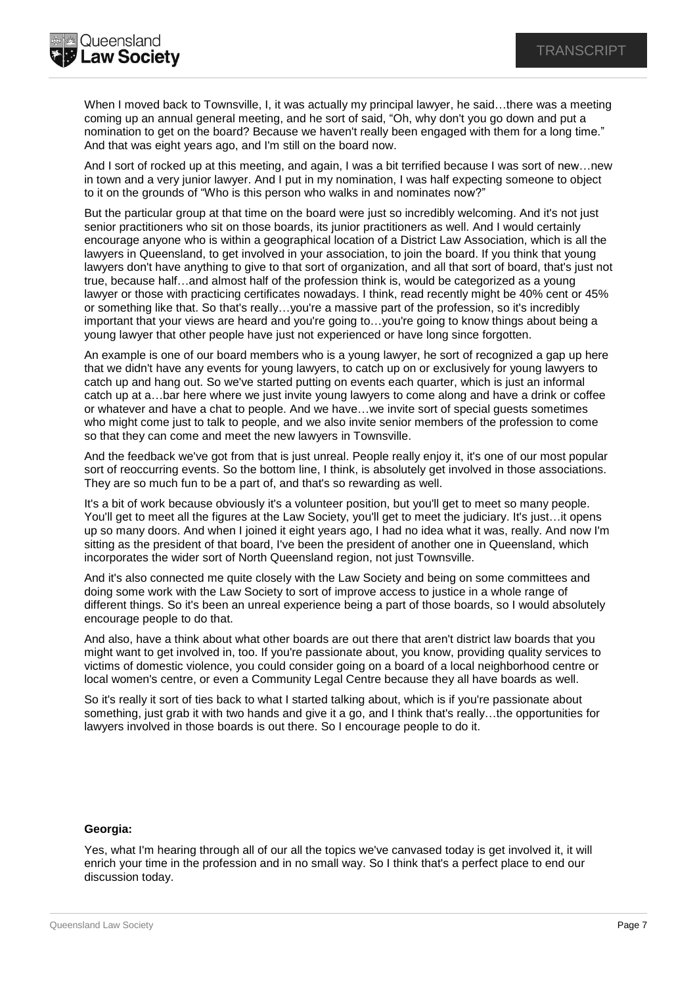

When I moved back to Townsville, I, it was actually my principal lawyer, he said...there was a meeting coming up an annual general meeting, and he sort of said, "Oh, why don't you go down and put a nomination to get on the board? Because we haven't really been engaged with them for a long time." And that was eight years ago, and I'm still on the board now.

And I sort of rocked up at this meeting, and again, I was a bit terrified because I was sort of new…new in town and a very junior lawyer. And I put in my nomination, I was half expecting someone to object to it on the grounds of "Who is this person who walks in and nominates now?"

But the particular group at that time on the board were just so incredibly welcoming. And it's not just senior practitioners who sit on those boards, its junior practitioners as well. And I would certainly encourage anyone who is within a geographical location of a District Law Association, which is all the lawyers in Queensland, to get involved in your association, to join the board. If you think that young lawyers don't have anything to give to that sort of organization, and all that sort of board, that's just not true, because half…and almost half of the profession think is, would be categorized as a young lawyer or those with practicing certificates nowadays. I think, read recently might be 40% cent or 45% or something like that. So that's really...you're a massive part of the profession, so it's incredibly important that your views are heard and you're going to…you're going to know things about being a young lawyer that other people have just not experienced or have long since forgotten.

An example is one of our board members who is a young lawyer, he sort of recognized a gap up here that we didn't have any events for young lawyers, to catch up on or exclusively for young lawyers to catch up and hang out. So we've started putting on events each quarter, which is just an informal catch up at a…bar here where we just invite young lawyers to come along and have a drink or coffee or whatever and have a chat to people. And we have…we invite sort of special guests sometimes who might come just to talk to people, and we also invite senior members of the profession to come so that they can come and meet the new lawyers in Townsville.

And the feedback we've got from that is just unreal. People really enjoy it, it's one of our most popular sort of reoccurring events. So the bottom line, I think, is absolutely get involved in those associations. They are so much fun to be a part of, and that's so rewarding as well.

It's a bit of work because obviously it's a volunteer position, but you'll get to meet so many people. You'll get to meet all the figures at the Law Society, you'll get to meet the judiciary. It's just…it opens up so many doors. And when I joined it eight years ago, I had no idea what it was, really. And now I'm sitting as the president of that board, I've been the president of another one in Queensland, which incorporates the wider sort of North Queensland region, not just Townsville.

And it's also connected me quite closely with the Law Society and being on some committees and doing some work with the Law Society to sort of improve access to justice in a whole range of different things. So it's been an unreal experience being a part of those boards, so I would absolutely encourage people to do that.

And also, have a think about what other boards are out there that aren't district law boards that you might want to get involved in, too. If you're passionate about, you know, providing quality services to victims of domestic violence, you could consider going on a board of a local neighborhood centre or local women's centre, or even a Community Legal Centre because they all have boards as well.

So it's really it sort of ties back to what I started talking about, which is if you're passionate about something, just grab it with two hands and give it a go, and I think that's really...the opportunities for lawyers involved in those boards is out there. So I encourage people to do it.

# **Georgia:**

Yes, what I'm hearing through all of our all the topics we've canvased today is get involved it, it will enrich your time in the profession and in no small way. So I think that's a perfect place to end our discussion today.